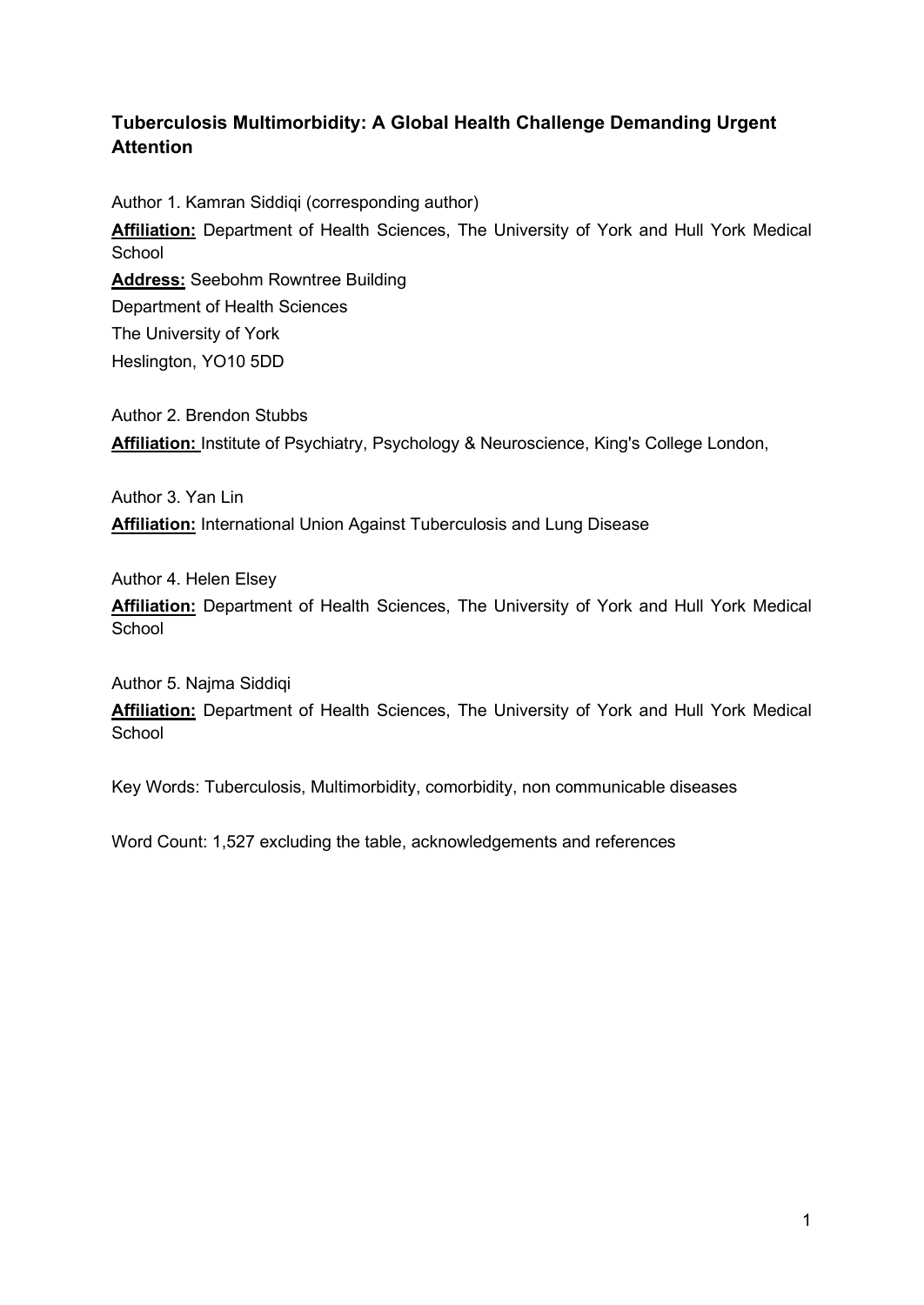## **Tuberculosis Multimorbidity: A Global Health Challenge Demanding Urgent Attention**

Author 1. Kamran Siddiqi (corresponding author)

**Affiliation:** Department of Health Sciences, The University of York and Hull York Medical **School** 

**Address:** Seebohm Rowntree Building Department of Health Sciences The University of York Heslington, YO10 5DD

Author 2. Brendon Stubbs **Affiliation:** Institute of Psychiatry, Psychology & Neuroscience, King's College London,

Author 3. Yan Lin **Affiliation:** International Union Against Tuberculosis and Lung Disease

Author 4. Helen Elsey

**Affiliation:** Department of Health Sciences, The University of York and Hull York Medical **School** 

Author 5. Najma Siddiqi

**Affiliation:** Department of Health Sciences, The University of York and Hull York Medical **School** 

Key Words: Tuberculosis, Multimorbidity, comorbidity, non communicable diseases

Word Count: 1,527 excluding the table, acknowledgements and references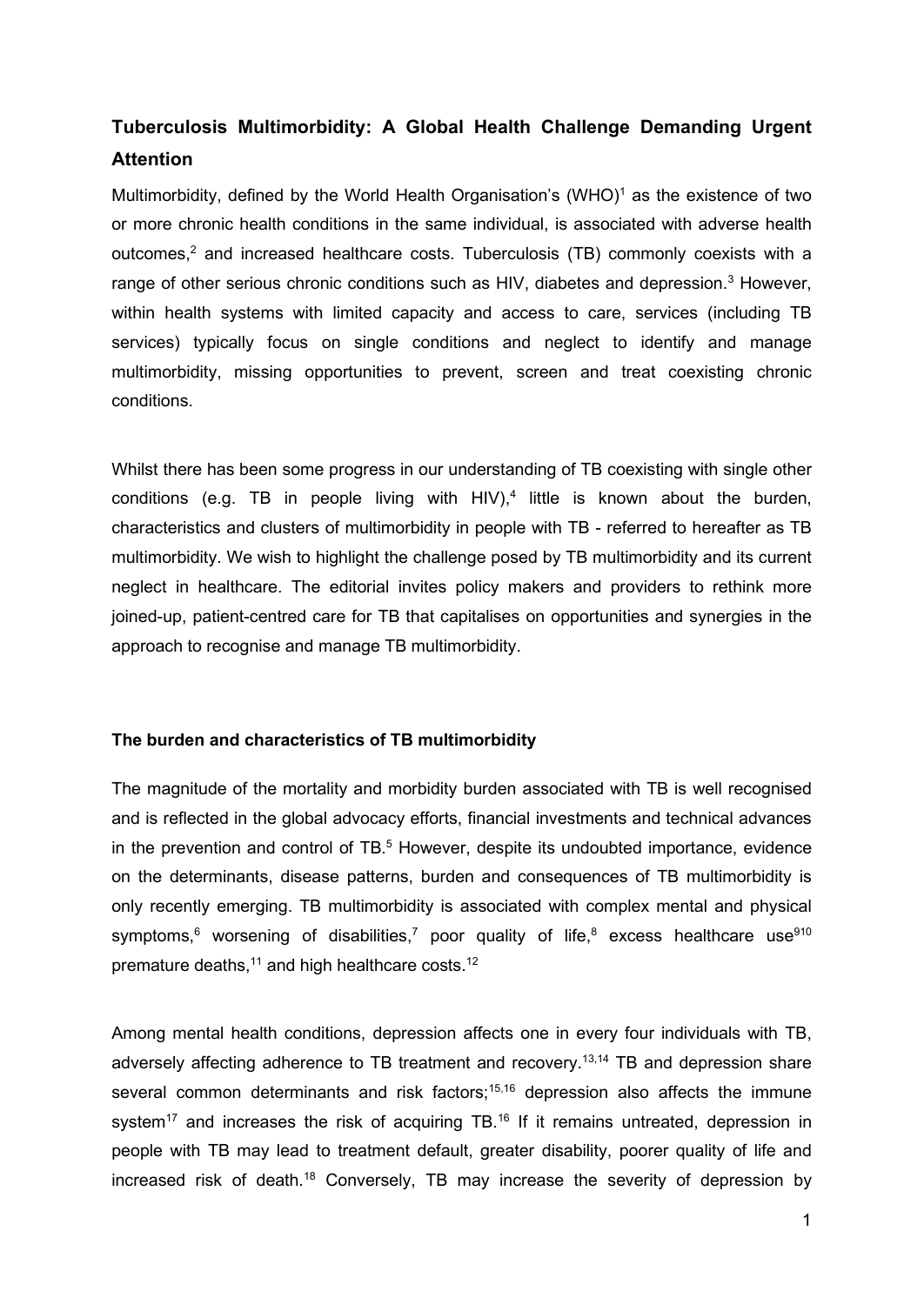# **Tuberculosis Multimorbidity: A Global Health Challenge Demanding Urgent Attention**

Multimorbidity, defined by the World Health Organisation's (WHO)<sup>1</sup> as the existence of two or more chronic health conditions in the same individual, is associated with adverse health outcomes,<sup>2</sup> and increased healthcare costs. Tuberculosis (TB) commonly coexists with a range of other serious chronic conditions such as HIV, diabetes and depression.<sup>[3](https://paperpile.com/c/pjF3B7/mf0w7)</sup> However, within health systems with limited capacity and access to care, services (including TB services) typically focus on single conditions and neglect to identify and manage multimorbidity, missing opportunities to prevent, screen and treat coexisting chronic conditions.

Whilst there has been some progress in our understanding of TB coexisting with single other conditions (e.g. TB in people living with HIV),<sup>4</sup> little is known about the burden, characteristics and clusters of multimorbidity in people with TB - referred to hereafter as TB multimorbidity. We wish to highlight the challenge posed by TB multimorbidity and its current neglect in healthcare. The editorial invites policy makers and providers to rethink more joined-up, patient-centred care for TB that capitalises on opportunities and synergies in the approach to recognise and manage TB multimorbidity.

## **The burden and characteristics of TB multimorbidity**

The magnitude of the mortality and morbidity burden associated with TB is well recognised and is reflected in the global advocacy efforts, financial investments and technical advances in the prevention and control of  $TB<sub>0</sub>$ <sup>5</sup> However, despite its undoubted importance, evidence on the determinants, disease patterns, burden and consequences of TB multimorbidity is only recently emerging. TB multimorbidity is associated with complex mental and physical symptoms, $6$  worsening of disabilities,<sup>7</sup> poor quality of life, $8$  excess healthcare use $910$  $910$ premature deaths.<sup>11</sup> and high healthcare costs.<sup>12</sup>

Among mental health conditions, depression affects one in every four individuals with TB, adversely affecting adherence to TB treatment and recovery. [13,14](https://paperpile.com/c/pjF3B7/WOiv1+txqY4) TB and depression share several common determinants and risk factors;<sup>15,[16](https://paperpile.com/c/pjF3B7/QE5ns)</sup> depression also affects the immune system<sup>17</sup> and increases the risk of acquiring TB.<sup>16</sup> If it remains untreated, depression in people with TB may lead to treatment default, greater disability, poorer quality of life and increased risk of death[.18](https://paperpile.com/c/pjF3B7/snzzj) Conversely, TB may increase the severity of depression by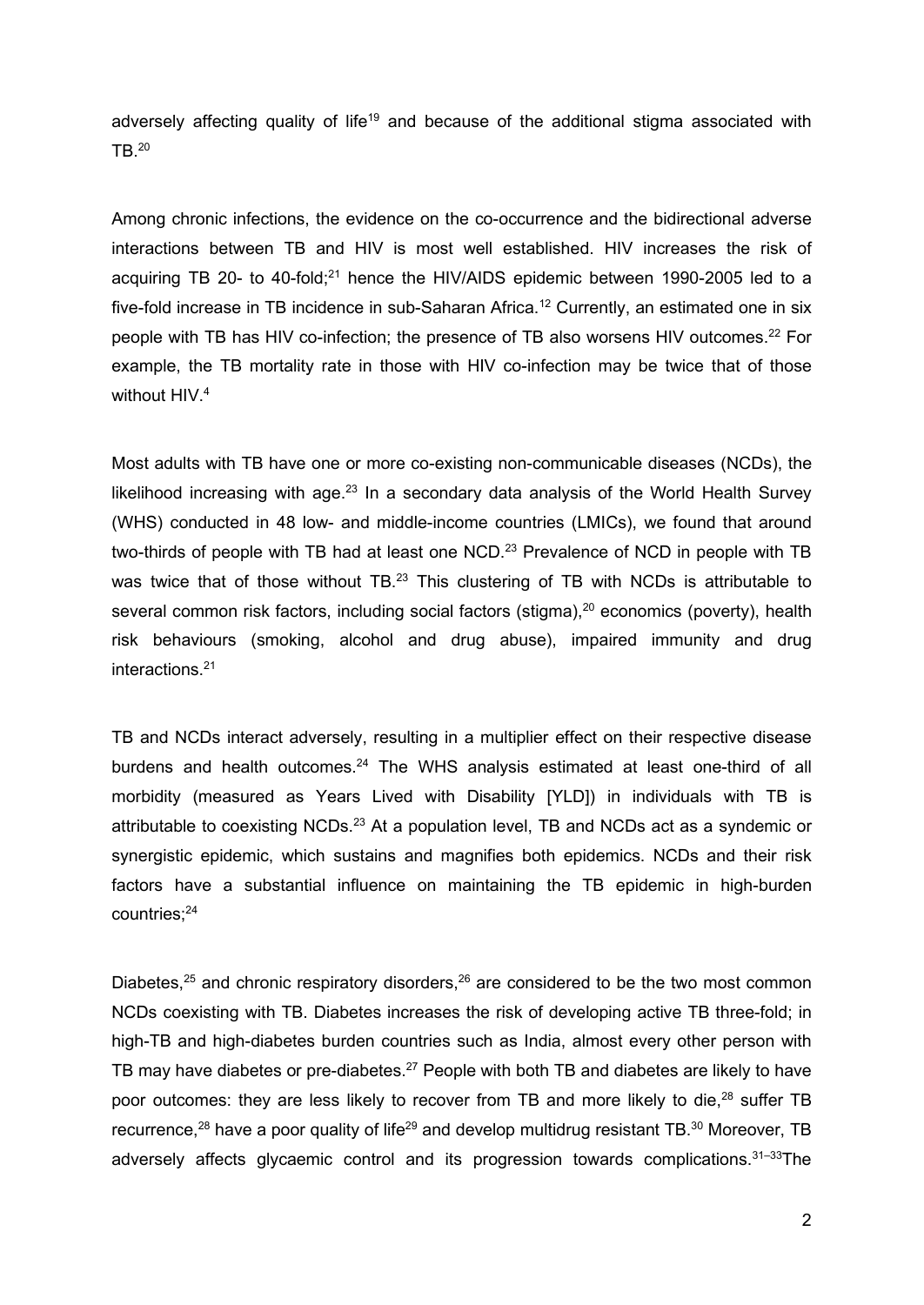adversely affecting quality of life<sup>19</sup> and because of the additional stigma associated with  $TB<sup>.20</sup>$  $TB<sup>.20</sup>$  $TB<sup>.20</sup>$ 

Among chronic infections, the evidence on the co-occurrence and the bidirectional adverse interactions between TB and HIV is most well established. HIV increases the risk of acquiring TB 20- to 40-fold; $^{21}$  hence the HIV/AIDS epidemic between 1990-2005 led to a five-fold increase in TB incidence in sub-Saharan Africa.<sup>12</sup> Currently, an estimated one in six people with TB has HIV co-infection; the presence of TB also worsens HIV outcomes.<sup>22</sup> For example, the TB mortality rate in those with HIV co-infection may be twice that of those without HIV.<sup>4</sup>

Most adults with TB have one or more co-existing non-communicable diseases (NCDs), the likelihood increasing with age. $23$  In a secondary data analysis of the World Health Survey (WHS) conducted in 48 low- and middle-income countries (LMICs), we found that around two-thirds of people with TB had at least one NCD.<sup>23</sup> Prevalence of NCD in people with TB was twice that of those without TB.<sup>23</sup> This clustering of TB with NCDs is attributable to several common risk factors, including social factors (stigma),<sup>20</sup> economics (poverty), health risk behaviours (smoking, alcohol and drug abuse), impaired immunity and drug interactions[.21](https://paperpile.com/c/pjF3B7/8UsFP)

TB and NCDs interact adversely, resulting in a multiplier effect on their respective disease burdens and health outcomes.<sup>24</sup> The WHS analysis estimated at least one-third of all morbidity (measured as Years Lived with Disability [YLD]) in individuals with TB is attributable to coexisting NCDs.<sup>23</sup> At a population level, TB and NCDs act as a syndemic or synergistic epidemic, which sustains and magnifies both epidemics. NCDs and their risk factors have a substantial influence on maintaining the TB epidemic in high-burden countries:<sup>24</sup>

Diabetes, $25$  and chronic respiratory disorders, $26$  are considered to be the two most common NCDs coexisting with TB. Diabetes increases the risk of developing active TB three-fold; in high-TB and high-diabetes burden countries such as India, almost every other person with TB may have diabetes or pre-diabetes.<sup>27</sup> People with both TB and diabetes are likely to have poor outcomes: they are less likely to recover from TB and more likely to die,<sup>28</sup> suffer TB recurrence,<sup>28</sup> have a poor quality of life<sup>29</sup> and develop multidrug resistant TB.<sup>30</sup> Moreover, TB adversely affects glycaemic control and its progression towards complications.<sup>31-33</sup>The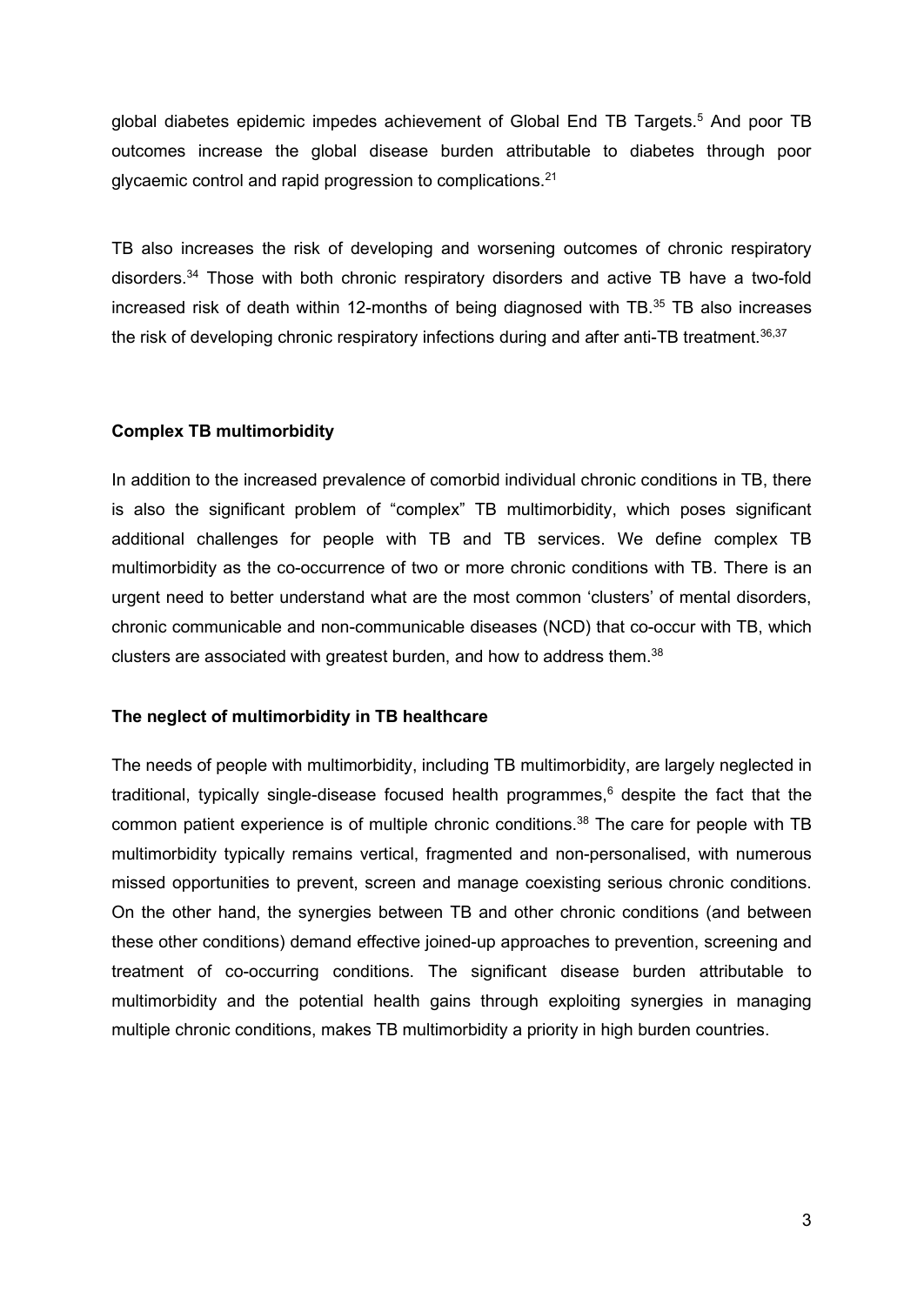global diabetes epidemic impedes achievement of Global End TB Targets[.5](https://paperpile.com/c/pjF3B7/2Z3vc) And poor TB outcomes increase the global disease burden attributable to diabetes through poor glycaemic control and rapid progression to complications[.21](https://paperpile.com/c/pjF3B7/8UsFP)

TB also increases the risk of developing and worsening outcomes of chronic respiratory disorders[.34](https://paperpile.com/c/pjF3B7/Ohd8E) Those with both chronic respiratory disorders and active TB have a two-fold increased risk of death within 12-months of being diagnosed with TB[.35](https://paperpile.com/c/pjF3B7/xswHs) TB also increases the risk of developing chronic respiratory infections during and after anti-TB treatment.<sup>36,37</sup>

## **Complex TB multimorbidity**

In addition to the increased prevalence of comorbid individual chronic conditions in TB, there is also the significant problem of "complex" TB multimorbidity, which poses significant additional challenges for people with TB and TB services. We define complex TB multimorbidity as the co-occurrence of two or more chronic conditions with TB. There is an urgent need to better understand what are the most common 'clusters' of mental disorders, chronic communicable and non-communicable diseases (NCD) that co-occur with TB, which clusters are associated with greatest burden, and how to address them. [38](https://paperpile.com/c/pjF3B7/vtctg)

#### **The neglect of multimorbidity in TB healthcare**

The needs of people with multimorbidity, including TB multimorbidity, are largely neglected in traditional, typically single-disease focused health programmes, $6$  despite the fact that the common patient experience is of multiple chronic conditions.<sup>38</sup> The care for people with TB multimorbidity typically remains vertical, fragmented and non-personalised, with numerous missed opportunities to prevent, screen and manage coexisting serious chronic conditions. On the other hand, the synergies between TB and other chronic conditions (and between these other conditions) demand effective joined-up approaches to prevention, screening and treatment of co-occurring conditions. The significant disease burden attributable to multimorbidity and the potential health gains through exploiting synergies in managing multiple chronic conditions, makes TB multimorbidity a priority in high burden countries.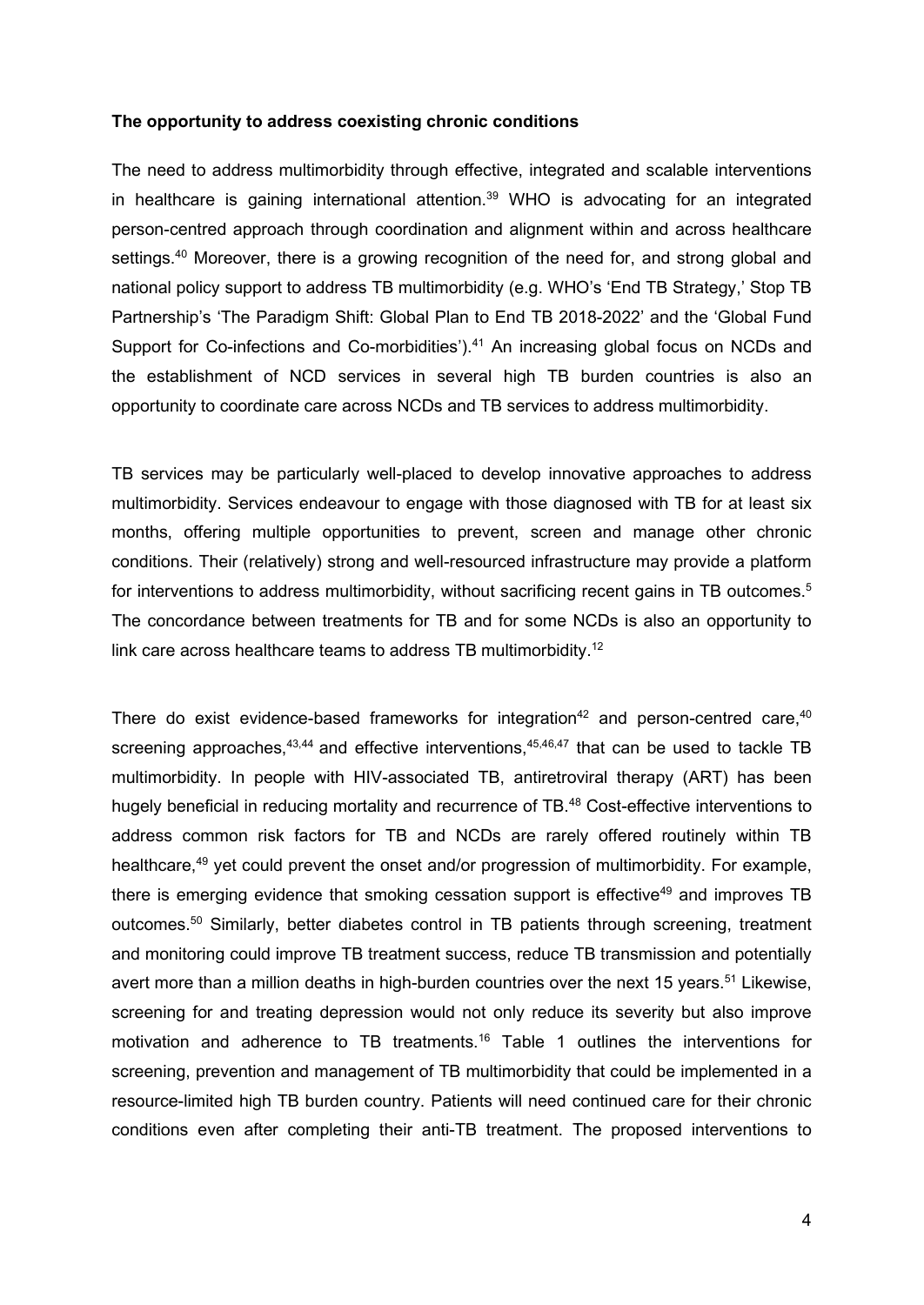#### **The opportunity to address coexisting chronic conditions**

The need to address multimorbidity through effective, integrated and scalable interventions in healthcare is gaining international attention. [39](https://paperpile.com/c/pjF3B7/eWoCp) WHO is advocating for an integrated person-centred approach through coordination and alignment within and across healthcare settings.<sup>40</sup> Moreover, there is a growing recognition of the need for, and strong global and national policy support to address TB multimorbidity (e.g. WHO's 'End TB Strategy,' Stop TB Partnership's 'The Paradigm Shift: Global Plan to End TB 2018-2022' and the 'Global Fund Support for Co-infections and Co-morbidities').<sup>41</sup> An increasing global focus on NCDs and the establishment of NCD services in several high TB burden countries is also an opportunity to coordinate care across NCDs and TB services to address multimorbidity.

TB services may be particularly well-placed to develop innovative approaches to address multimorbidity. Services endeavour to engage with those diagnosed with TB for at least six months, offering multiple opportunities to prevent, screen and manage other chronic conditions. Their (relatively) strong and well-resourced infrastructure may provide a platform for interventions to address multimorbidity, without sacrificing recent gains in TB outcomes.<sup>5</sup> The concordance between treatments for TB and for some NCDs is also an opportunity to link care across healthcare teams to address TB multimorbidity.<sup>12</sup>

There do exist evidence-based frameworks for integration<sup>42</sup> and person-centred care,  $40$ screening approaches,  $43,44$  and effective interventions,  $45,46,47$  $45,46,47$  $45,46,47$  that can be used to tackle TB multimorbidity. In people with HIV-associated TB, antiretroviral therapy (ART) has been hugely beneficial in reducing mortality and recurrence of TB.<sup>48</sup> Cost-effective interventions to address common risk factors for TB and NCDs are rarely offered routinely within TB healthcare,<sup>49</sup> yet could prevent the onset and/or progression of multimorbidity. For example, there is emerging evidence that smoking cessation support is effective<sup>49</sup> and improves TB outcomes[.50](https://paperpile.com/c/pjF3B7/MDvG) Similarly, better diabetes control in TB patients through screening, treatment and monitoring could improve TB treatment success, reduce TB transmission and potentially avert more than a million deaths in high-burden countries over the next 15 years.<sup>51</sup> Likewise, screening for and treating depression would not only reduce its severity but also improve motivation and adherence to TB treatments[.16](https://paperpile.com/c/pjF3B7/QE5ns) Table 1 outlines the interventions for screening, prevention and management of TB multimorbidity that could be implemented in a resource-limited high TB burden country. Patients will need continued care for their chronic conditions even after completing their anti-TB treatment. The proposed interventions to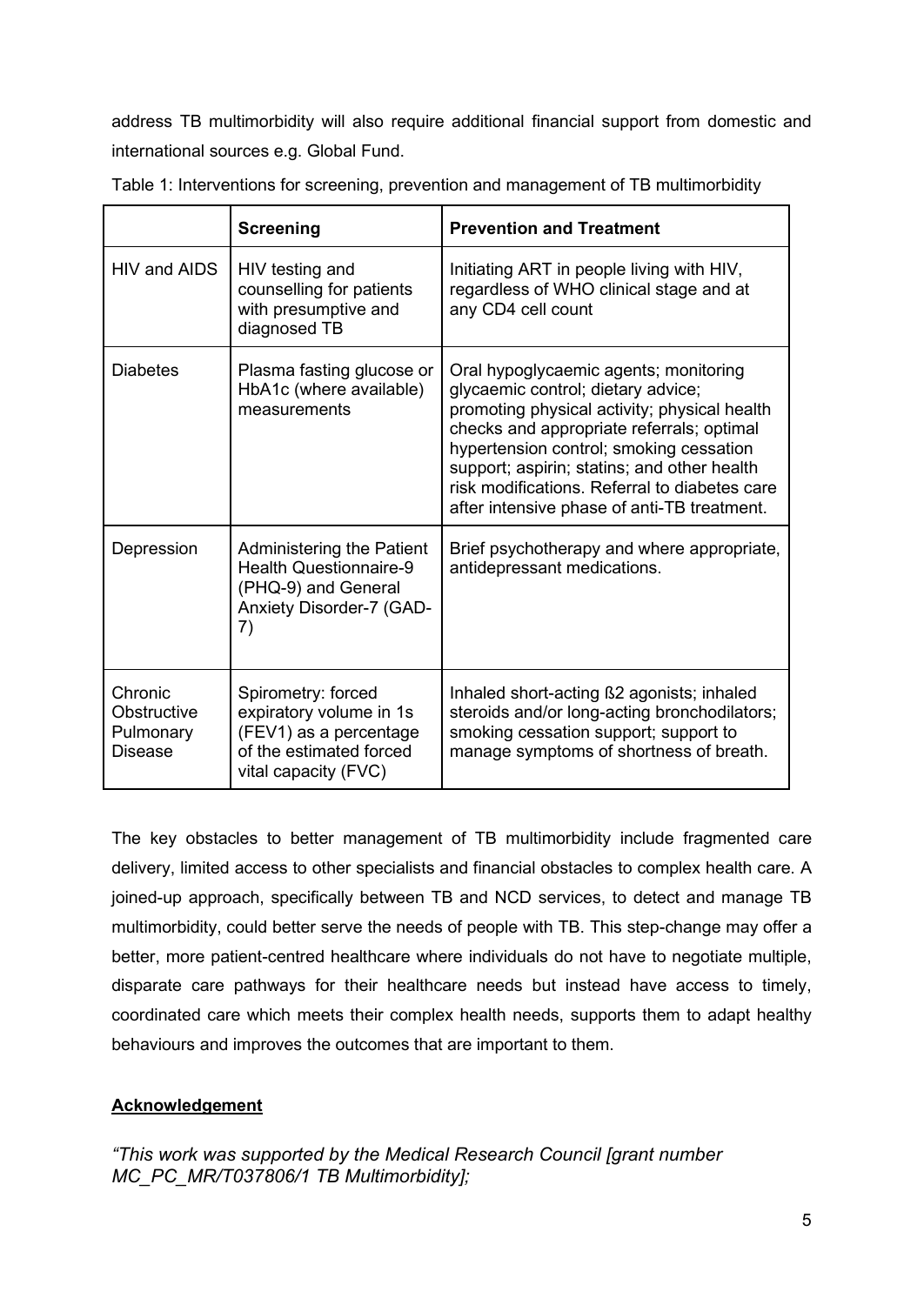address TB multimorbidity will also require additional financial support from domestic and international sources e.g. Global Fund.

|                                                       | <b>Screening</b>                                                                                                           | <b>Prevention and Treatment</b>                                                                                                                                                                                                                                                                                                                                    |
|-------------------------------------------------------|----------------------------------------------------------------------------------------------------------------------------|--------------------------------------------------------------------------------------------------------------------------------------------------------------------------------------------------------------------------------------------------------------------------------------------------------------------------------------------------------------------|
| HIV and AIDS                                          | HIV testing and<br>counselling for patients<br>with presumptive and<br>diagnosed TB                                        | Initiating ART in people living with HIV,<br>regardless of WHO clinical stage and at<br>any CD4 cell count                                                                                                                                                                                                                                                         |
| <b>Diabetes</b>                                       | Plasma fasting glucose or<br>HbA1c (where available)<br>measurements                                                       | Oral hypoglycaemic agents; monitoring<br>glycaemic control; dietary advice;<br>promoting physical activity; physical health<br>checks and appropriate referrals; optimal<br>hypertension control; smoking cessation<br>support; aspirin; statins; and other health<br>risk modifications. Referral to diabetes care<br>after intensive phase of anti-TB treatment. |
| Depression                                            | <b>Administering the Patient</b><br><b>Health Questionnaire-9</b><br>(PHQ-9) and General<br>Anxiety Disorder-7 (GAD-<br>7) | Brief psychotherapy and where appropriate,<br>antidepressant medications.                                                                                                                                                                                                                                                                                          |
| Chronic<br>Obstructive<br>Pulmonary<br><b>Disease</b> | Spirometry: forced<br>expiratory volume in 1s<br>(FEV1) as a percentage<br>of the estimated forced<br>vital capacity (FVC) | Inhaled short-acting ß2 agonists; inhaled<br>steroids and/or long-acting bronchodilators;<br>smoking cessation support; support to<br>manage symptoms of shortness of breath.                                                                                                                                                                                      |

Table 1: Interventions for screening, prevention and management of TB multimorbidity

The key obstacles to better management of TB multimorbidity include fragmented care delivery, limited access to other specialists and financial obstacles to complex health care. A joined-up approach, specifically between TB and NCD services, to detect and manage TB multimorbidity, could better serve the needs of people with TB. This step-change may offer a better, more patient-centred healthcare where individuals do not have to negotiate multiple, disparate care pathways for their healthcare needs but instead have access to timely, coordinated care which meets their complex health needs, supports them to adapt healthy behaviours and improves the outcomes that are important to them.

## **Acknowledgement**

*"This work was supported by the Medical Research Council [grant number MC\_PC\_MR/T037806/1 TB Multimorbidity];*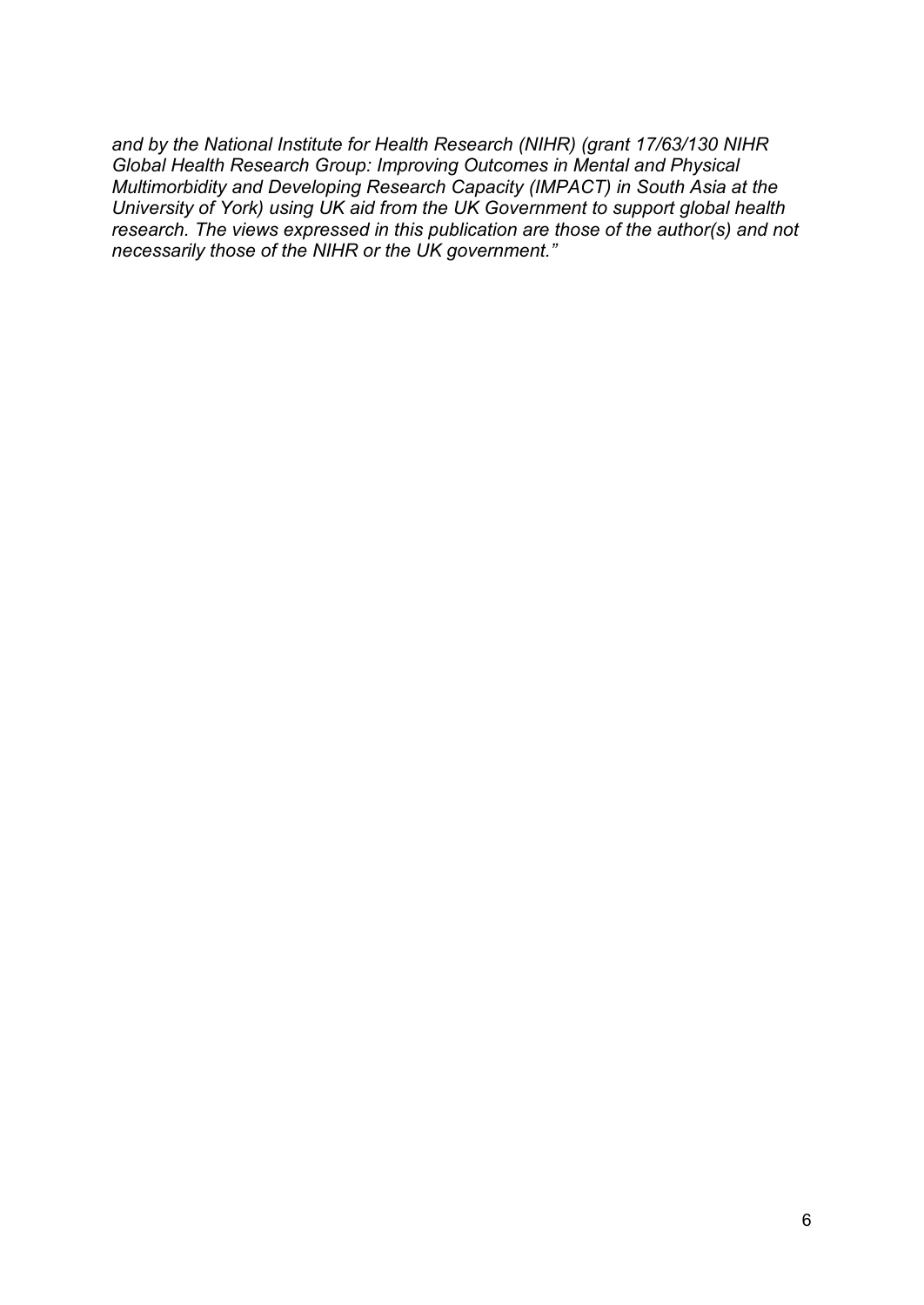*and by the National Institute for Health Research (NIHR) (grant 17/63/130 NIHR Global Health Research Group: Improving Outcomes in Mental and Physical Multimorbidity and Developing Research Capacity (IMPACT) in South Asia at the University of York) using UK aid from the UK Government to support global health research. The views expressed in this publication are those of the author(s) and not necessarily those of the NIHR or the UK government."*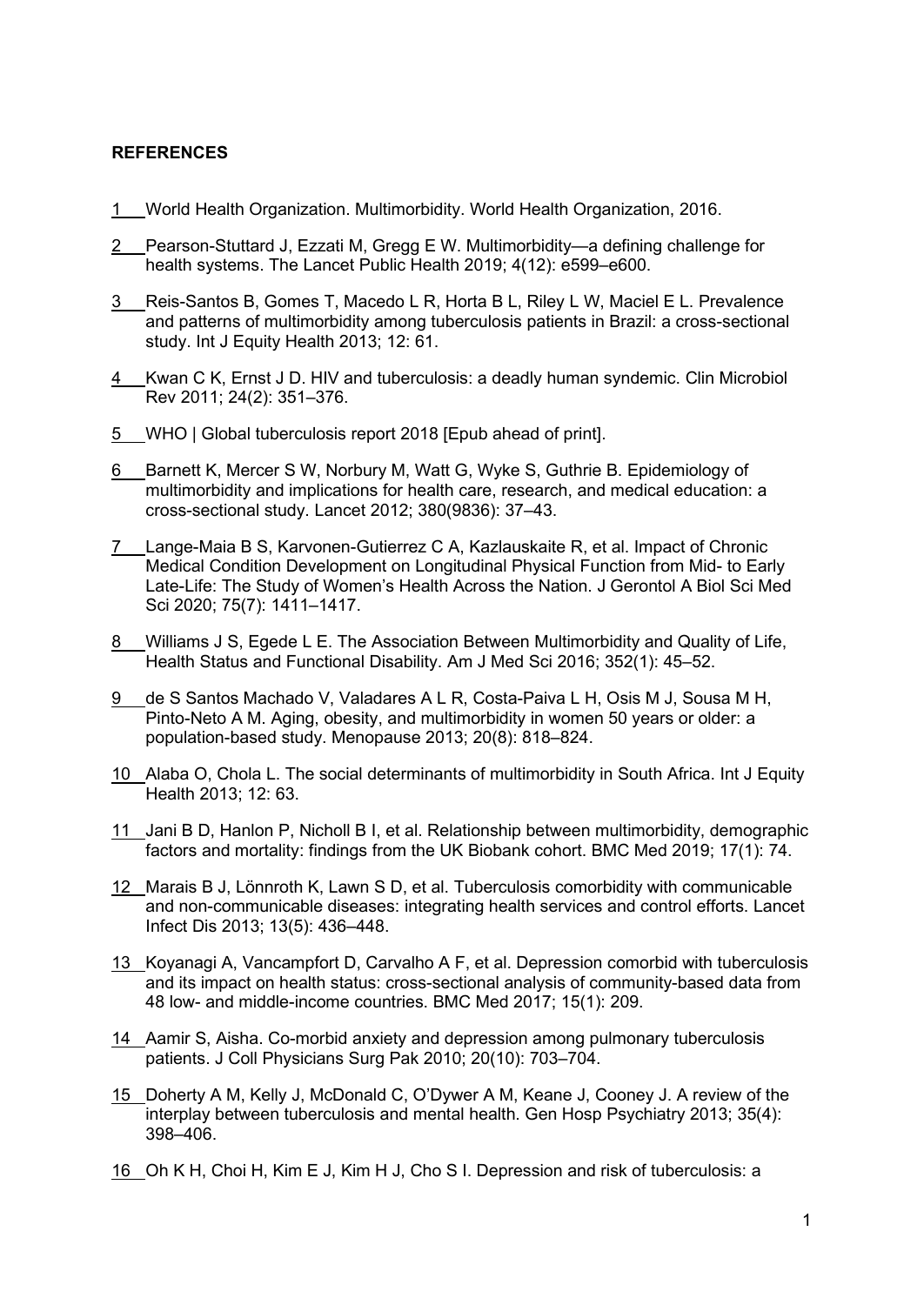## **REFERENCES**

- 1 [World Health Organization. Multimorbidity. World Health Organization, 2016.](http://paperpile.com/b/pjF3B7/jhV2u)
- 2 [Pearson-Stuttard J, Ezzati M, Gregg E W. Multimorbidity—a defining challenge for](http://paperpile.com/b/pjF3B7/XG21Z)  [health systems. The Lancet Public Health 2019; 4\(12\): e599–e600.](http://paperpile.com/b/pjF3B7/XG21Z)
- 3 [Reis-Santos B, Gomes T, Macedo L R, Horta B L, Riley L W, Maciel E L. Prevalence](http://paperpile.com/b/pjF3B7/mf0w7)  [and patterns of multimorbidity among tuberculosis patients in Brazil: a cross-sectional](http://paperpile.com/b/pjF3B7/mf0w7)  [study. Int J Equity Health 2013; 12: 61.](http://paperpile.com/b/pjF3B7/mf0w7)
- 4 [Kwan C K, Ernst J D. HIV and tuberculosis: a deadly human syndemic. Clin Microbiol](http://paperpile.com/b/pjF3B7/t5suB)  [Rev 2011; 24\(2\): 351–376.](http://paperpile.com/b/pjF3B7/t5suB)
- 5 [WHO | Global tuberculosis report 2018 \[Epub ahead of print\].](http://paperpile.com/b/pjF3B7/2Z3vc)
- 6 [Barnett K, Mercer S W, Norbury M, Watt G, Wyke S, Guthrie B. Epidemiology of](http://paperpile.com/b/pjF3B7/4Jsaw)  [multimorbidity and implications for health care, research, and medical education: a](http://paperpile.com/b/pjF3B7/4Jsaw)  [cross-sectional study. Lancet 2012; 380\(9836\): 37–43.](http://paperpile.com/b/pjF3B7/4Jsaw)
- 7 [Lange-Maia B S, Karvonen-Gutierrez C A, Kazlauskaite R, et al. Impact of Chronic](http://paperpile.com/b/pjF3B7/sFprz)  [Medical Condition Development on Longitudinal Physical Function from Mid-](http://paperpile.com/b/pjF3B7/sFprz) to Early [Late-Life: The Study of Women's Health Across the Nation. J Gerontol A Biol Sci Med](http://paperpile.com/b/pjF3B7/sFprz)  [Sci 2020; 75\(7\): 1411–1417.](http://paperpile.com/b/pjF3B7/sFprz)
- 8 [Williams J S, Egede L E. The Association Between Multimorbidity and Quality of Life,](http://paperpile.com/b/pjF3B7/IYaru)  [Health Status and Functional Disability. Am J Med Sci 2016; 352\(1\): 45–52.](http://paperpile.com/b/pjF3B7/IYaru)
- 9 [de S Santos Machado V, Valadares A L R, Costa-Paiva L H, Osis M J, Sousa M H,](http://paperpile.com/b/pjF3B7/m34Zb)  [Pinto-Neto A M. Aging, obesity, and multimorbidity in women 50 years or older: a](http://paperpile.com/b/pjF3B7/m34Zb)  [population-based study. Menopause 2013; 20\(8\): 818–824.](http://paperpile.com/b/pjF3B7/m34Zb)
- 10 [Alaba O, Chola L. The social determinants of multimorbidity in South Africa. Int J Equity](http://paperpile.com/b/pjF3B7/jqpfa)  [Health 2013; 12: 63.](http://paperpile.com/b/pjF3B7/jqpfa)
- 11 [Jani B D, Hanlon P, Nicholl B I, et al. Relationship between multimorbidity, demographic](http://paperpile.com/b/pjF3B7/CQFtY)  [factors and mortality: findings from the UK Biobank cohort. BMC Med 2019; 17\(1\): 74.](http://paperpile.com/b/pjF3B7/CQFtY)
- 12 [Marais B J, Lönnroth K, Lawn S D, et al. Tuberculosis comorbidity with communicable](http://paperpile.com/b/pjF3B7/pyIMd)  [and non-communicable diseases: integrating health services and control efforts. Lancet](http://paperpile.com/b/pjF3B7/pyIMd)  [Infect Dis 2013; 13\(5\): 436–448.](http://paperpile.com/b/pjF3B7/pyIMd)
- 13 [Koyanagi A, Vancampfort D, Carvalho A F, et al. Depression comorbid with tuberculosis](http://paperpile.com/b/pjF3B7/WOiv1)  [and its impact on health status: cross-sectional analysis of community-based data from](http://paperpile.com/b/pjF3B7/WOiv1)  48 low- [and middle-income countries. BMC Med 2017; 15\(1\): 209.](http://paperpile.com/b/pjF3B7/WOiv1)
- 14 [Aamir S, Aisha. Co-morbid anxiety and depression among pulmonary tuberculosis](http://paperpile.com/b/pjF3B7/txqY4)  [patients. J Coll Physicians Surg Pak 2010; 20\(10\): 703–704.](http://paperpile.com/b/pjF3B7/txqY4)
- 15 [Doherty A M, Kelly J, McDonald C, O'Dywer A M, Keane J, Cooney J. A review of the](http://paperpile.com/b/pjF3B7/VKMam)  [interplay between tuberculosis and mental health. Gen Hosp Psychiatry 2013; 35\(4\):](http://paperpile.com/b/pjF3B7/VKMam)  [398–406.](http://paperpile.com/b/pjF3B7/VKMam)
- 16 [Oh K H, Choi H, Kim E J, Kim H J, Cho S I. Depression and risk of tuberculosis: a](http://paperpile.com/b/pjF3B7/QE5ns)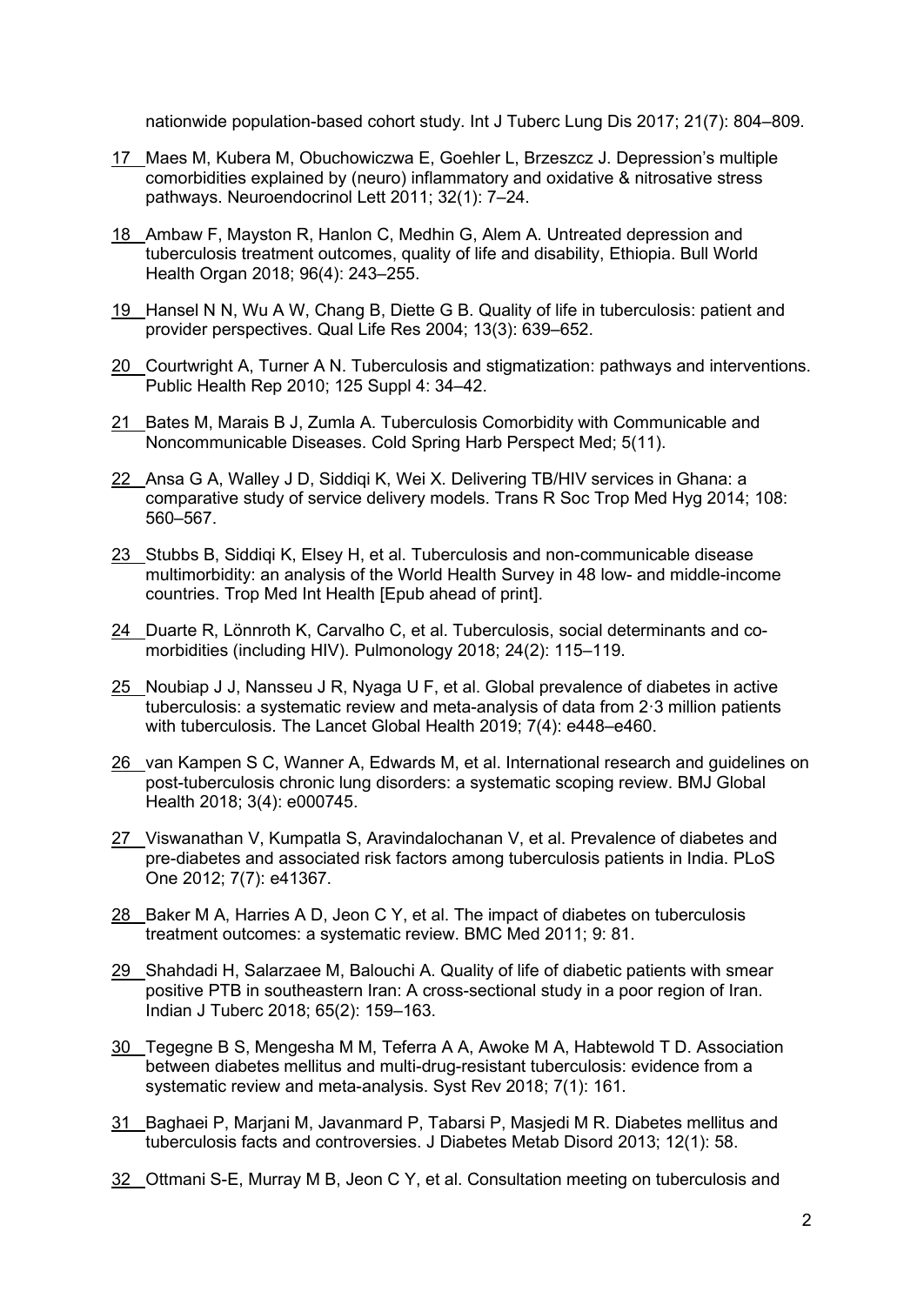[nationwide population-based cohort study. Int J Tuberc Lung Dis 2017; 21\(7\): 804–809.](http://paperpile.com/b/pjF3B7/QE5ns)

- 17 [Maes M, Kubera M, Obuchowiczwa E, Goehler L, Brzeszcz J. Depression's multiple](http://paperpile.com/b/pjF3B7/rb4lw)  [comorbidities explained by \(neuro\) inflammatory and oxidative & nitrosative stress](http://paperpile.com/b/pjF3B7/rb4lw)  [pathways. Neuroendocrinol Lett 2011; 32\(1\): 7–24.](http://paperpile.com/b/pjF3B7/rb4lw)
- 18 [Ambaw F, Mayston R, Hanlon C, Medhin G, Alem A. Untreated depression and](http://paperpile.com/b/pjF3B7/snzzj)  [tuberculosis treatment outcomes, quality of life and disability, Ethiopia. Bull World](http://paperpile.com/b/pjF3B7/snzzj)  [Health Organ 2018; 96\(4\): 243–255.](http://paperpile.com/b/pjF3B7/snzzj)
- 19 Hansel N [N, Wu A W, Chang B, Diette G B. Quality of life in tuberculosis: patient and](http://paperpile.com/b/pjF3B7/br7RH)  [provider perspectives. Qual Life Res 2004; 13\(3\): 639–652.](http://paperpile.com/b/pjF3B7/br7RH)
- 20 [Courtwright A, Turner A N. Tuberculosis and stigmatization: pathways and interventions.](http://paperpile.com/b/pjF3B7/QHm0J)  [Public Health Rep 2010; 125 Suppl 4: 34–42.](http://paperpile.com/b/pjF3B7/QHm0J)
- 21 [Bates M, Marais B J, Zumla A. Tuberculosis Comorbidity with Communicable and](http://paperpile.com/b/pjF3B7/8UsFP)  [Noncommunicable Diseases. Cold Spring Harb Perspect Med; 5\(11\).](http://paperpile.com/b/pjF3B7/8UsFP)
- 22 [Ansa G A, Walley J D, Siddiqi K, Wei X. Delivering TB/HIV services in Ghana: a](http://paperpile.com/b/pjF3B7/XFwcO)  [comparative study of service delivery models. Trans R Soc Trop Med Hyg 2014; 108:](http://paperpile.com/b/pjF3B7/XFwcO)  [560–567.](http://paperpile.com/b/pjF3B7/XFwcO)
- 23 [Stubbs B, Siddiqi K, Elsey H, et al. Tuberculosis and non-communicable disease](http://paperpile.com/b/pjF3B7/WZ01Z)  [multimorbidity: an analysis of the World Health Survey in 48 low-](http://paperpile.com/b/pjF3B7/WZ01Z) and middle-income [countries. Trop Med Int Health \[Epub ahead of print\].](http://paperpile.com/b/pjF3B7/WZ01Z)
- 24 [Duarte R, Lönnroth K, Carvalho C, et al. Tuberculosis, social determinants and co](http://paperpile.com/b/pjF3B7/P3CqJ)[morbidities \(including HIV\). Pulmonology 2018; 24\(2\): 115–119.](http://paperpile.com/b/pjF3B7/P3CqJ)
- 25 [Noubiap J J, Nansseu J R, Nyaga U F, et al. Global prevalence of diabetes in active](http://paperpile.com/b/pjF3B7/uiE9t)  [tuberculosis: a systematic review and meta-analysis of data from 2·3 million patients](http://paperpile.com/b/pjF3B7/uiE9t)  [with tuberculosis. The Lancet Global Health 2019; 7\(4\): e448–e460.](http://paperpile.com/b/pjF3B7/uiE9t)
- 26 [van Kampen S C, Wanner A, Edwards M, et al. International research and guidelines on](http://paperpile.com/b/pjF3B7/jxMRY)  [post-tuberculosis chronic lung disorders: a systematic scoping review. BMJ Global](http://paperpile.com/b/pjF3B7/jxMRY)  [Health 2018; 3\(4\): e000745.](http://paperpile.com/b/pjF3B7/jxMRY)
- 27 [Viswanathan V, Kumpatla S, Aravindalochanan V, et al. Prevalence of diabetes and](http://paperpile.com/b/pjF3B7/tcyvu)  [pre-diabetes and associated risk factors among tuberculosis patients in India. PLoS](http://paperpile.com/b/pjF3B7/tcyvu)  [One 2012; 7\(7\): e41367.](http://paperpile.com/b/pjF3B7/tcyvu)
- 28 [Baker M A, Harries A D, Jeon C Y, et al. The impact of diabetes on tuberculosis](http://paperpile.com/b/pjF3B7/XPIu7)  [treatment outcomes: a systematic review. BMC Med 2011; 9: 81.](http://paperpile.com/b/pjF3B7/XPIu7)
- 29 Shahdadi H, Salarzaee M, Balouchi A. Quality of life of diabetic patients with smear [positive PTB in southeastern Iran: A cross-sectional study in a poor region of Iran.](http://paperpile.com/b/pjF3B7/PzRiR)  [Indian J Tuberc 2018; 65\(2\): 159–163.](http://paperpile.com/b/pjF3B7/PzRiR)
- 30 Tegegne B [S, Mengesha M M, Teferra A A, Awoke M A, Habtewold T D. Association](http://paperpile.com/b/pjF3B7/mSAmK)  [between diabetes mellitus and multi-drug-resistant tuberculosis: evidence from a](http://paperpile.com/b/pjF3B7/mSAmK)  [systematic review and meta-analysis. Syst Rev 2018; 7\(1\): 161.](http://paperpile.com/b/pjF3B7/mSAmK)
- 31 [Baghaei P, Marjani M, Javanmard P, Tabarsi P, Masjedi M R. Diabetes mellitus and](http://paperpile.com/b/pjF3B7/HtR1K)  [tuberculosis facts and controversies. J Diabetes Metab Disord 2013; 12\(1\): 58.](http://paperpile.com/b/pjF3B7/HtR1K)
- 32 [Ottmani S-E, Murray M B, Jeon C Y, et al. Consultation meeting on tuberculosis and](http://paperpile.com/b/pjF3B7/Jx5Vh)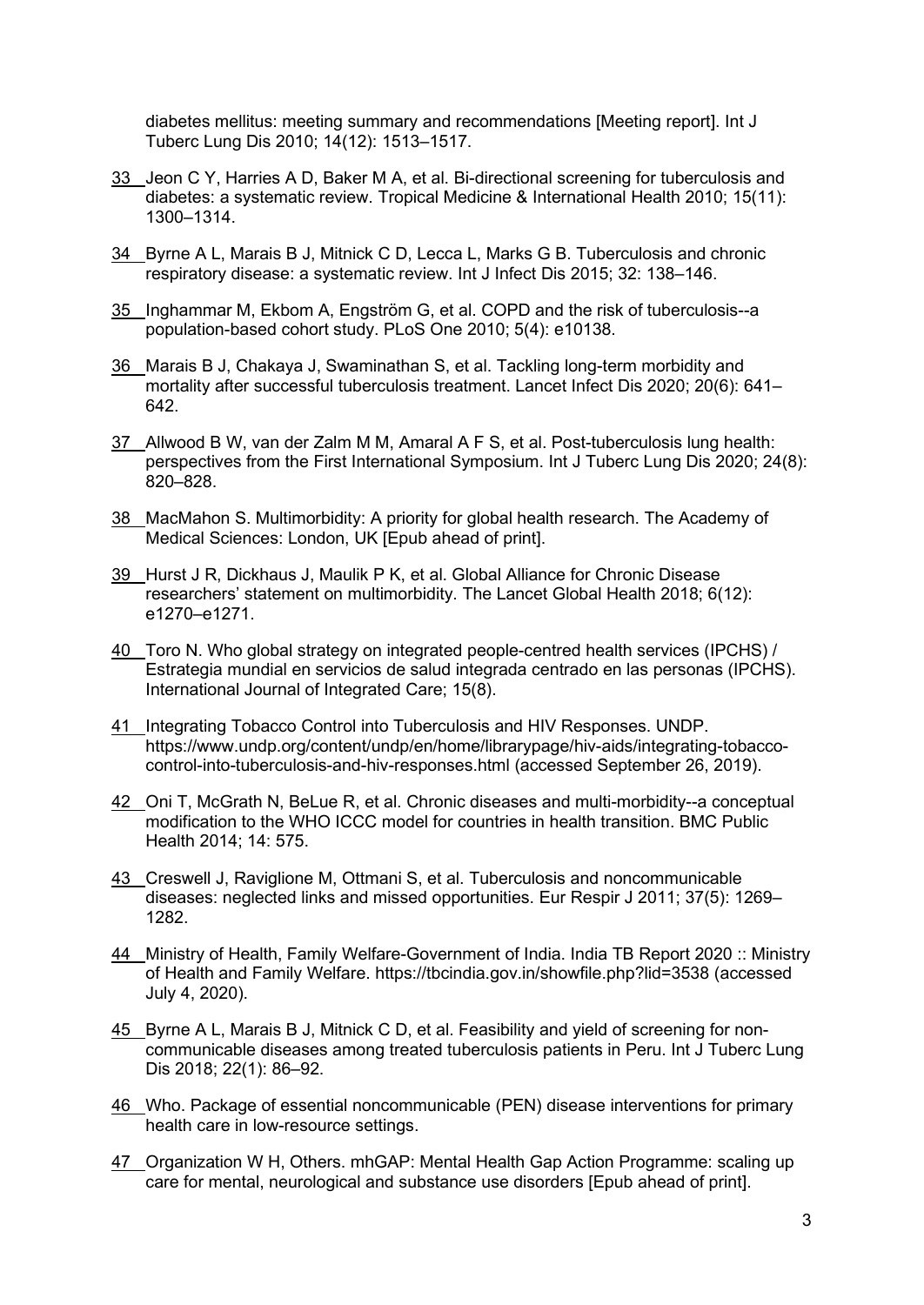[diabetes mellitus: meeting summary and recommendations \[Meeting report\]. Int J](http://paperpile.com/b/pjF3B7/Jx5Vh)  [Tuberc Lung Dis 2010; 14\(12\): 1513–1517.](http://paperpile.com/b/pjF3B7/Jx5Vh)

- 33 [Jeon C Y, Harries A D, Baker M A, et al. Bi-directional screening for tuberculosis and](http://paperpile.com/b/pjF3B7/9NXhp)  [diabetes: a systematic review. Tropical Medicine & International Health 2010; 15\(11\):](http://paperpile.com/b/pjF3B7/9NXhp)  [1300–1314.](http://paperpile.com/b/pjF3B7/9NXhp)
- 34 [Byrne A L, Marais B J, Mitnick C D, Lecca L, Marks G B. Tuberculosis and chronic](http://paperpile.com/b/pjF3B7/Ohd8E)  [respiratory disease: a systematic review. Int J Infect Dis 2015; 32: 138–146.](http://paperpile.com/b/pjF3B7/Ohd8E)
- 35 [Inghammar M, Ekbom A, Engström G, et al. COPD and the risk of tuberculosis--a](http://paperpile.com/b/pjF3B7/xswHs)  [population-based cohort study. PLoS One 2010; 5\(4\): e10138.](http://paperpile.com/b/pjF3B7/xswHs)
- 36 [Marais B J, Chakaya J, Swaminathan S, et al. Tackling long-term morbidity and](http://paperpile.com/b/pjF3B7/USHo)  [mortality after successful tuberculosis treatment. Lancet Infect Dis 2020; 20\(6\): 641–](http://paperpile.com/b/pjF3B7/USHo) [642.](http://paperpile.com/b/pjF3B7/USHo)
- 37 [Allwood B W, van der Zalm M M, Amaral A F S, et al. Post-tuberculosis lung health:](http://paperpile.com/b/pjF3B7/Pa6a)  [perspectives from the First International Symposium. Int J Tuberc Lung Dis 2020; 24\(8\):](http://paperpile.com/b/pjF3B7/Pa6a)  [820–828.](http://paperpile.com/b/pjF3B7/Pa6a)
- 38 [MacMahon S. Multimorbidity: A priority for global health research. The Academy of](http://paperpile.com/b/pjF3B7/vtctg)  [Medical Sciences: London, UK \[Epub ahead of print\].](http://paperpile.com/b/pjF3B7/vtctg)
- 39 [Hurst J R, Dickhaus J, Maulik P K, et al. Global Alliance for Chronic Disease](http://paperpile.com/b/pjF3B7/eWoCp)  [researchers' statement on multimorbidity. The Lancet Global Health 2018; 6\(12\):](http://paperpile.com/b/pjF3B7/eWoCp)  [e1270–e1271.](http://paperpile.com/b/pjF3B7/eWoCp)
- 40 [Toro N. Who global strategy on integrated people-centred health services \(IPCHS\) /](http://paperpile.com/b/pjF3B7/7BgSD)  [Estrategia mundial en servicios de salud integrada centrado en las personas \(IPCHS\).](http://paperpile.com/b/pjF3B7/7BgSD)  [International Journal of Integrated Care; 15\(8\).](http://paperpile.com/b/pjF3B7/7BgSD)
- 41 [Integrating Tobacco Control into Tuberculosis and HIV Responses. UNDP.](http://paperpile.com/b/pjF3B7/CnONj)  [https://www.undp.org/content/undp/en/home/librarypage/hiv-aids/integrating-tobacco](https://www.undp.org/content/undp/en/home/librarypage/hiv-aids/integrating-tobacco-control-into-tuberculosis-and-hiv-responses.html)[control-into-tuberculosis-and-hiv-responses.html](https://www.undp.org/content/undp/en/home/librarypage/hiv-aids/integrating-tobacco-control-into-tuberculosis-and-hiv-responses.html) [\(accessed September 26,](http://paperpile.com/b/pjF3B7/CnONj) 2019).
- 42 [Oni T, McGrath N, BeLue R, et al. Chronic diseases and multi-morbidity--a conceptual](http://paperpile.com/b/pjF3B7/UIhUp)  [modification to the WHO ICCC model for countries in health transition. BMC Public](http://paperpile.com/b/pjF3B7/UIhUp)  [Health 2014; 14: 575.](http://paperpile.com/b/pjF3B7/UIhUp)
- 43 [Creswell J, Raviglione M, Ottmani S, et al. Tuberculosis and noncommunicable](http://paperpile.com/b/pjF3B7/sGUBY)  [diseases: neglected links and missed opportunities. Eur Respir J 2011; 37\(5\): 1269–](http://paperpile.com/b/pjF3B7/sGUBY) [1282.](http://paperpile.com/b/pjF3B7/sGUBY)
- 44 Ministry of Health, Family Welfare-Government of India. India TB Report 2020 :: Ministry [of Health and Family Welfare.](http://paperpile.com/b/pjF3B7/FNIey) <https://tbcindia.gov.in/showfile.php?lid=3538> [\(accessed](http://paperpile.com/b/pjF3B7/FNIey)  [July 4, 2020\).](http://paperpile.com/b/pjF3B7/FNIey)
- 45 [Byrne A L, Marais B J, Mitnick C D, et al. Feasibility and yield of screening for non](http://paperpile.com/b/pjF3B7/3Y4qa)[communicable diseases among treated tuberculosis patients in Peru. Int J Tuberc Lung](http://paperpile.com/b/pjF3B7/3Y4qa)  [Dis 2018; 22\(1\): 86–92.](http://paperpile.com/b/pjF3B7/3Y4qa)
- 46 [Who. Package of essential noncommunicable \(PEN\) disease interventions for primary](http://paperpile.com/b/pjF3B7/yfgnE)  [health care in low-resource settings.](http://paperpile.com/b/pjF3B7/yfgnE)
- 47 [Organization W H, Others. mhGAP: Mental Health Gap Action Programme: scaling up](http://paperpile.com/b/pjF3B7/qzHKm)  [care for mental, neurological and substance use disorders \[Epub ahead of print\].](http://paperpile.com/b/pjF3B7/qzHKm)